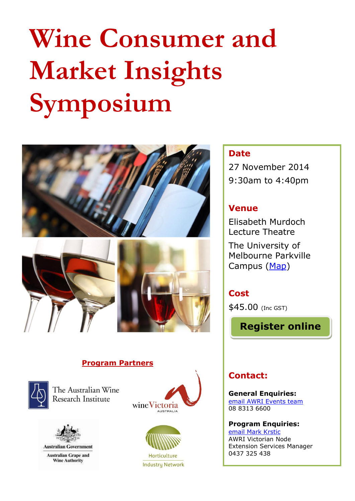# **Wine Consumer and Market Insights Symposium**





#### **Program Partners**



The Australian Wine Research Institute



**Australian Grape and Wine Authority** 





**Industry Network** 

### **Date**

27 November 2014 9:30am to 4:40pm

#### **Venue**

Elisabeth Murdoch Lecture Theatre The University of Melbourne Parkville Campus [\(Map\)](http://maps.unimelb.edu.au/parkville/building/134#.VCjuiU1Mu70)

## **Cost**

\$45.00 (Inc GST)

**Register online**

## **Contact:**

**General Enquiries:** [email AWRI Events team](mailto:events@awri.com.au?subject=Enquiry%20-%20Consumer%20and%20Market%20Insights%20Symposium%20-%2027%20Nov%2014) 08 8313 6600

**Program Enquiries:** [email Mark Krstic](mailto:mark.krstic@awri.com.au?subject=Program%20enquiry%20-%20Consumer%20and%20Market%20Insights%20Symposium%20-%2027%20Nov%2014) AWRI Victorian Node Extension Services Manager 0437 325 438